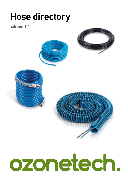# **Hose directory**

#### **Edition 1.1**

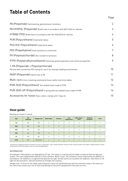### **Table of Contents**

|                                                                                                                           | . ugu          |
|---------------------------------------------------------------------------------------------------------------------------|----------------|
| PA (Polyamide) Hard wearing, good pressure resistance.                                                                    | $\overline{2}$ |
| PA12HIPHL (Polyamide) Brake hose in accordance with DIN 74324 for vehicles.                                               | 3              |
| HTRAB (TPE) Brake hose in accordance with ISO 7628:2010 for vehicles.                                                     | 4              |
| PUR (Polyurethane) Small bend radius.                                                                                     | 5              |
| PUS (CO-Polyurethane) Small bend radius.                                                                                  | 6              |
| PES (Polyethylene) Good resistance to chemicals.                                                                          | 7              |
| PV (Polyvinylchloride) Very resistant to pressure.                                                                        | 8              |
| PTFE (Polytetrafluoroethylene) Extremely good temperature and chemical properties.                                        | 9              |
| 1-PA (Polyamide + Polyvinylchloride)<br>PA hose with a protective PVC casing for use in for example welding environments. | 10             |
| PASP (Polyamide) Spiral hose in PA.                                                                                       | 11             |
| Multi-core A line containing one/several hoses and/or electrical cables.                                                  | 12             |
| PUR-DUO (Polyurethane) Two welded hoses made of PUR.                                                                      | 13             |
| PUR-DUO-SP (Polyurethane) A spring with two welded hoses made of PUR.                                                     | 14             |
| Accessories for hoses Hose cutters, clamps and T-clips etc.                                                               | 15             |

#### **Hose guide**

Ranking our hoses (1 is best).

| <b>Type</b> | <b>UV</b><br>stabilised | <b>Halogen free</b> | <b>Bend radius</b> | Pressure       | Low<br>temperature | High temper-<br>ature | Chemical<br>resistance <sup>*</sup> | Price          |
|-------------|-------------------------|---------------------|--------------------|----------------|--------------------|-----------------------|-------------------------------------|----------------|
| PA          | <b>YES</b>              | <b>YES</b>          | 3                  | 2              | $\overline{2}$     | 3                     | 3                                   | 3              |
| <b>PUR</b>  | N <sub>0</sub>          | <b>YES</b>          | $\overline{2}$     | 5              | $\overline{2}$     | 3                     | 6                                   | $\mathfrak{p}$ |
| <b>PUS</b>  | <b>YES</b>              | <b>YES</b>          |                    | 3              | $\overline{2}$     | $\mathfrak{p}$        | 5                                   | $\mathcal{L}$  |
| <b>PES</b>  | N <sub>O</sub>          | <b>YES</b>          | $\mathbf{3}$       | $\overline{4}$ | $\overline{2}$     | $\overline{4}$        | $\mathfrak{p}$                      |                |
| PV          | N <sub>0</sub>          | N <sub>0</sub>      | $\overline{4}$     |                | 3                  | 4                     | 4                                   | 4              |
| <b>PTFE</b> | <b>YES</b>              | YES (white)         | $\frac{1}{4}$      | $\mathcal{P}$  |                    |                       |                                     | 5              |

\* Comparisons regarding chemical resistance are only a rough guide. Lower ranked materials tolerate certain chemicals better than higher ranked materials. Check using chemical resistance tables or ask our technical department.

#### INFORMATION

*UV stabilised* = Most plastics are degraded by UV rays. The impact is restricted by the depth of material that the light penetrates. Thin and unpigmented material is more sensitive. Black is best. The resistance can be improved by the addition of antioxidants, UV-stabilisers or pigment that absorbs the light. Smoke (soot) is an excellent UV-stabiliser. Side effects of UV light are discolouration, reduced mechanical strength and cracking.

*Halogen free* = Is more for the safety aspect because it gives off significantly less and less harmful smoke in the event of a fire, which also means less risk of injury and damage to electronic equipment) in the event of a fire.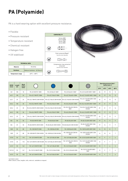## <span id="page-3-0"></span>**PA (Polyamide)**

PA is a hard wearing option with excellent pressure resistance.

- Flexible
- Pressure resistant
- Temperature resistant
- Chemical resistant
- Halogen free
- UV stabilised

| <b>TECHNICAL DATA</b>    |                              |  |  |  |  |  |
|--------------------------|------------------------------|--|--|--|--|--|
| <b>Material</b>          | PA12P40                      |  |  |  |  |  |
| <b>Hardness</b>          | Medium hardness - 65 Shore D |  |  |  |  |  |
| <b>Temperature range</b> | $-40^{\circ}$ C ÷ +80°C      |  |  |  |  |  |





| <b>EØ/10</b> | Length | <b>Bend</b><br>radius |                           |                          |                                           |                                                 |      |      | Operating pressure (bar) -<br><b>Safety factor 3</b> |                 |
|--------------|--------|-----------------------|---------------------------|--------------------------|-------------------------------------------|-------------------------------------------------|------|------|------------------------------------------------------|-----------------|
| (mm)         | (m)    | (mm)                  |                           |                          |                                           |                                                 | 23°C | 40°C | 60°C                                                 | 80°C            |
| 3/2          | 100    | 18                    | PA-3/2 WHITE 100M         | PA-3/2 BLUE 100M *       | PA-3/2 BLACK 100M *                       | PA-3/2 SILVER GREY 100M *                       | 26   | 19   | 15                                                   | 12              |
| 4/2,7        | 100    | 24                    | PA-4/2,7 WHITE 100M       | PA-4/2,7 BLUE 100M       | PA-4/2,7 BLACK 100M                       | PA-4/2,7 SILVER GREY 100M                       | 26   | 19   | 15                                                   | 12              |
| 4/2,7        | 25     | 24                    | PA-4/2,7 WHITE 25M IN BOX | PA-4/2,7 BLUE 25M IN BOX | PA-4/2,7 BLACK 25M IN BOX                 | PA-4/2,7 SILVER GREY 25M<br>IN BOX <sup>+</sup> | 26   | 19   | 15                                                   | 12              |
| 5/3,2        | 100    | 30                    | PA-5/3.2 WHITE 100M       | PA-5/3.2 BLUE 100M       | PA-5/3.2 BLACK 100M                       | PA-5/3.2 SILVER GREY 100M                       | 29   | 21   | 17                                                   | 14              |
| 5/3,2        | 25     | 30                    | PA-5/3.2 WHITE 25M IN BOX | PA-5/3,2 BLUE 25M IN BOX | PA-5/3,2 BLACK 25M IN<br>BOX <sup>+</sup> | PA-5/3,2 SILVER GREY 25M<br>IN BOX <sup>+</sup> | 29   | 21   | 17                                                   | 14              |
| 6/4.2        | 100    | 36                    | PA-6/4.2 WHITE 100M       | PA-6/4.2 BLUE 100M       | PA-6/4.2 BLACK 100M                       | PA-6/4.2 SILVER GREY 100M                       | 23   | 17   | 13                                                   | 11              |
| 6/4.2        | 25     | 36                    | PA-6/4,2 WHITE 25M IN BOX | PA-6/4.2 BLUE 25M IN BOX | PA-6/4.2 BLACK 25M IN BOX                 | PA-6/4,2 SILVER GREY 25M<br>IN BOX <sup>+</sup> | 23   | 17   | 13                                                   | 11              |
| 8/6          | 50     | 50                    | PA-8/6 WHITE 50M          | PA-8/6 BLUE 50M          | PA-8/6 BLACK 50M                          | PA-8/6 SILVER GREY 50M                          | 19   | 14   | 11                                                   | 9               |
| 8/6          | 25     | 50                    | PA-8/6 WHITE 25M IN BOX   | PA-8/6 BLUE 25M IN BOX   | PA-8/6 BLACK 25M IN BOX                   | PA-8/6 SILVER GREY 25M<br>IN BOX <sup>+</sup>   | 19   | 14   | 11                                                   | 9               |
| 10/8         | 50     | 80                    | PA-10/8 WHITE 50M         | PA-10/8 BLUE 50M         | PA-10/8 BLACK 50M                         | PA-10/8 SILVER GREY 50M                         | 14   | 10   | 8                                                    | $7\overline{ }$ |
| 10/8         | 25     | 80                    | PA-10/8 WHITE 25M IN BOX  | PA-10/8 BLUE 25M IN BOX  | PA-10/8 BLACK 25M IN<br>BOX <sup>'</sup>  | PA-10/8 SILVER GREY 25M<br>IN BOX <sup>+</sup>  | 14   | 10   | 8                                                    | $\overline{7}$  |
| 12/10        | 50     | 118                   | PA-12/10 WHITE 50M        | PA-12/10 BLUE 50M        | PA-12/10 BLACK 50M                        | PA-12/10 SILVER GREY 50M                        | 12   | 9    | 7 <sup>7</sup>                                       | 6               |
| 12/10        | 25     | 118                   | PA-12/10 WHITE 25M IN BOX | PA-12/10 BLUE 25M IN BOX | PA-12/10 BLACK 25M IN<br><b>BOX</b>       | PA-12/10 SILVER GREY 25M<br>IN BOX <sup>+</sup> | 12   | 9    | 7                                                    | 6               |
| 14/12        | 50     | 163                   | PA-14/12 WHITE 50M        | PA-14/12 BLUE 50M        | PA-14/12 BLACK 50M *                      | PA-14/12 SILVER GREY 50M                        | 10   | 7    | $\overline{6}$                                       | $5\overline{5}$ |
| 15/12.5      | 50     | 147                   | PA-15/12,5 WHITE 50M      | PA-15/12,5 BLUE 50M      | PA-15/12,5 BLACK 50M                      | PA-15/12,5 SILVER GREY<br>50M                   | 12   | 9    | 7                                                    | 6               |
| 16/13        | 50     | 138                   | PA-16/13 WHITE 50M        | PA-16/13 BLUE 50M *      | PA-16/13 BLACK 50M *                      | PA-16/13 SILVER GREY 50M                        | 13   | 9    | 7 <sup>7</sup>                                       | $\overline{6}$  |

\* not held in stock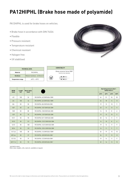### <span id="page-4-0"></span>**PA12HIPHL (Brake hose made of polyamide)**

PA12HIPHL is used for brake hoses on vehicles.

- Brake hose in accordance with DIN 74324
- Flexible
- Pressure resistant
- Temperature resistant
- Chemical resistant
- Halogen free
- UV stabilised



#### **COMPATIBILITY**



| <b>EØ/10</b> | Length | <b>Bend radius</b> |                              |                | Operating pressure (bar) -<br>Safety factor 3 |               |                 |
|--------------|--------|--------------------|------------------------------|----------------|-----------------------------------------------|---------------|-----------------|
| (mm)         | (m)    | (mm)               |                              | $23^{\circ}$ C | $40^{\circ}$ C                                | $60^{\circ}C$ | $80^{\circ}$ C  |
| 4/2          | 100    | 24                 | PA12HIPHL-4/2 DIN74324 100M  | 44             | 31                                            | 24            | 20              |
| 6/4          | 100    | 36                 | PA12HIPHL-6/4 DIN74324 100M  | 26             | 18                                            | 14            | 12              |
| 8/6          | 50     | 50                 | PA12HIPHL-8/6 DIN74324 50M   | 19             | 13                                            | 10            | 9               |
| 10/7         | 50     | 60                 | PA12HIPHL-10/7 DIN74324 50M  | 23             | 17                                            | 13            | 11              |
| 10/8         | 50     | 80                 | PA12HIPHL-10/8 DIN74324 50M  | 14             | 10                                            | 8             | 6               |
| 12/9         | 50     | 75                 | PA12HIPHL-12/9 DIN74324 50M  | 19             | 13                                            | 10            | 9               |
| 15/11        | 50     | 90                 | PA12HIPHL15/11 DIN74324 50M  | 20             | 14                                            | 11            | 9               |
| 15/12        | 50     | 121                | PA12HIPHL-15/12 DIN74324 50M | 14             | 10                                            | 8             | 6               |
| 16/12        | 50     | 100                | PA12HIPHL-16/12 DIN74324 50M | 19             | 14                                            | 11            | 9               |
| 18/14        | 50     | 129                | PA12HIPHL-18/14 DIN74324 50M | 16             | 11                                            | 9             | $7\overline{ }$ |
| $1/4$ "/4.3  | 100    | 38                 | PA12HIPHL-1/4 DIN74324 100M  | 26             | 19                                            | 15            | 10              |
| $3/8$ "/6,4  | 50     | 57                 | PA12HIPHL-3/8 DIN74324 50M * | 26             | 19                                            | 15            | 12              |
| $1/2$ "/9.5  | 50     | 79                 | PA12HIPHL-1/2 DIN74324 50M * | 19             | 14                                            | 11            | 9               |
| $5/8$ "/11,2 | 50     | 95                 | PA12HIPHL-5/8 DIN74324 50M * | 22             | 16                                            | 13            | 10              |

\* not held in stock Other sizes, lengths, rolls, reels etc. available on request.

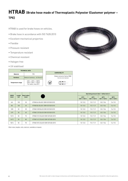#### <span id="page-5-0"></span>**HTRAB (Brake hose made of Thermoplastic Polyester Elastomer polymer – TPE)**

HTRAB is used for brake hoses on vehicles.

- Brake hose in accordance with ISO 7628:2010
- Excellent mechanical properties
- Flexible
- Pressure resistant
- Temperature resistant
- Chemical resistant
- Halogen free
- UV stabilised



| <b>EØ/10</b> |                  | <b>Bend radius</b> |                                    |                                        | Operating pressure (bar) - Safety factor 4 |                                        |                                        |
|--------------|------------------|--------------------|------------------------------------|----------------------------------------|--------------------------------------------|----------------------------------------|----------------------------------------|
| (mm)         | Length<br>(m)    | [mm]               |                                    | $23^{\circ}$ C<br><b>CAT.1 / CAT.3</b> | $40^{\circ}$ C<br><b>CAT.1 / CAT.3</b>     | $60^{\circ}$ C<br><b>CAT.1 / CAT.3</b> | $80^{\circ}$ C<br><b>CAT.1 / CAT.3</b> |
| 6/4          | 100              | 30                 | HTRAB 6/4 BLACK 100M IS07628-2010  | 10/12.5                                | 9,5/11,9                                   | 8,5/10,6                               | 7,6/9,5                                |
| 8/6          | 100              | 40                 | HTRAB 8/6 BLACK 100M IS07628-2010  | 10/12.5                                | 9,5/11,9                                   | 8,5/10,6                               | 7,6/9,5                                |
| 10/8         | 50               | 50                 | HTRAB 10/8 BLACK 50M IS07628-2010  | 10/12,5                                | 9,5/11,9                                   | 8,5/10,6                               | 7,6/9,5                                |
| 12/9         | 50 <sub>50</sub> | 60                 | HTRAB 12/9 BLACK 50M IS07628-2010  | 10/12.5                                | 9,5/11,9                                   | 8.5/10.6                               | 7,6/9,5                                |
| 15/12        | 50               | 75                 | HTRAB 15/12 BLACK 50M IS07628-2010 | 10/12.5                                | 9,5/11,9                                   | 8,5/10,6                               | 7,6/9,5                                |
| 16/12        | 50 <sub>50</sub> | 80                 | HTRAB 16/12 BLACK 50M ISO7628-2010 | 10/12.5                                | 9,5/11,9                                   | 8,5/10,6                               | 7,6/9,5                                |
| 18/14        | 50               | 90                 | HTRAB 18/14 BLACK 50M IS07628-2010 | 10/12.5                                | 9.5/11.9                                   | 8,5/10,6                               | 7,6/9,5                                |

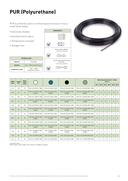### <span id="page-6-0"></span>**PUR (Polyurethane)**

PUR is primarily used in confined spaces because it has a small bend radius.

- Extremely flexible
- Excellent bend radius
- Temperature resistant

**TECHNICAL DATA Material** PUR C98A **Hardness** Soft - 98 Shore A/52 Shore D

 $-40^{\circ}$ C ÷  $+80^{\circ}$ C<br>(momentary +100°C)

• Halogen free

**Temperature range** 

| Series 6000<br>Series X6000<br>Series 7000<br>Series 8000                         |
|-----------------------------------------------------------------------------------|
|                                                                                   |
| Push connector/Rapid*<br>'note the inner diameter                                 |
|                                                                                   |
| Compression ring connector/<br>Universal <sup>*</sup><br>'note the inner diameter |
|                                                                                   |
|                                                                                   |

**COMPATIBILITY**



| EØ/IØ  | Length | <b>Bend</b><br>radius |                                            |                                           |                                            |                                                   |                |                 | factor 3        | <b>Operating pressure (bar) - Safety</b> |                |                 |
|--------|--------|-----------------------|--------------------------------------------|-------------------------------------------|--------------------------------------------|---------------------------------------------------|----------------|-----------------|-----------------|------------------------------------------|----------------|-----------------|
| (mm)   | (m)    | (mm)                  |                                            |                                           |                                            |                                                   | $20^{\circ}$ C | $30^{\circ}$ C  | $40^{\circ}$ C  | $50^{\circ}$ C                           | $60^{\circ}$ C | 70°C            |
| 4/2,2  | 100    | 10                    | PUR-4/2,2 WHITE 100M                       | PUR-4/2.2 BLUE 100M                       | PUR-4/2,2 BLACK 100M                       | PUR-4/2,2 SILVER GREY 100M                        | 17             | 15              | 13              | 11                                       | 10             | 9               |
| 4/2,2  | 25     | 10 <sup>1</sup>       | PUR-4/2,2 WHITE 25M<br>IN BOX              | PUR-4/2,2 BLUE 25M<br>IN BOX              | PUR-4/2,2 BLACK 25M<br>IN BOX              | PUR-4/2,2 SILVER GREY 25M<br>IN BOX <sup>+</sup>  | 17             | 15              | 13              | 11                                       | 10             | 9               |
| 5/3,1  | 100    | 15                    | PUR-5/3,1 WHITE 100M                       | PUR-5/3,1 BLUE 100M                       | PUR-5/3,1 BLACK 100M                       | PUR-5/3,1 SILVER GREY 100M                        | 13             | 12              | 10              | 9                                        | 8              | 7               |
| 5/3,1  | 25     | 15                    | PUR-5/3,1 WHITE 25M<br>IN BOX <sup>+</sup> | PUR-5/3,1 BLUE 25M<br>IN BOX <sup>+</sup> | PUR-5/3,1 BLACK 25M<br>IN BOX <sup>+</sup> | PUR-5/3,1 SILVER GREY 25M<br>IN BOX               | 13             | 12              | 10              | 9                                        | 8              | 7               |
| 6/3.9  | 100    | 20                    | PUR-6/3.9 WHITE 100M                       | PUR-6/3.9 BLUE 100M                       | PUR-6/3.9 BLACK 100M                       | PUR-6/3.9 SILVER GREY 100M                        | 12             | 11              | 9               | 8                                        | 7              | 7               |
| 6/3,9  | 25     | 20                    | PUR-6/3,9 WHITE 25M<br>IN BOX              | PUR-6/3.9 BLUE 25M<br>IN BOX              | PUR-6/3.9 BLACK 25M<br>IN BOX              | PUR-6/3.9 SILVER GREY 25M<br>IN BOX <sup>+</sup>  | 12             | 11              | 9               | 8                                        | $\overline{7}$ | 7               |
| 8/5.7  | 50     | 34                    | PUR-8/5,7 WHITE 50M                        | PUR-8/5.7 BLUE 50M                        | PUR-8/5.7 BLACK 50M                        | PUR-8/5,7 SILVER GREY 50M                         | 10             | 9               | $7\overline{ }$ | $7\overline{ }$                          | 6              | 5               |
| 8/5,7  | 25     | 34                    | PUR-8/5,7 WHITE 25M<br>IN BOX              | PUR-8/5.7 BLUE 25M<br>IN BOX              | PUR-8/5.7 BLACK 25M<br>IN BOX              | PUR-8/5.7 SILVER GREY 25M<br>IN BOX <sup>+</sup>  | 10             | 9               | $\overline{7}$  | $\overline{7}$                           | 6              | $5\overline{5}$ |
| 10/7,5 | 50     | 50                    | PUR-10/7,5 WHITE 50M                       | PUR-10/75 BLUE 50M                        | PUR-10/7,5 BLACK 50M                       | PUR-10/7,5 SILVER GREY 50M                        | 8              | 7               | 6               | 6                                        | 5              | 4               |
| 10/7,5 | 25     | 50                    | PUR-10/7,5 WHITE 25M<br>IN BOX             | PUR-10/7,5 BLUE 25M<br>IN BOX             | PUR-10/7,5 BLACK 25M<br>IN BOX             | PUR-10/7.5 SILVER GREY 25M<br>IN BOX <sup>+</sup> | 8              | $\overline{7}$  | $\overline{6}$  | $\overline{6}$                           | 5              | $\overline{4}$  |
| 12/9   | 25     | 60                    | PUR-12/9 WHITE 25M<br>IN BOX               | PUR-12/9 BLUE 25M<br>IN BOX               | PUR-12/9 BLACK 25M<br>IN BOX               | PUR-12/9 SILVER GREY 25M<br>IN BOX                | 8              | 7               | 6               | 6                                        | 5              | 4               |
| 12/9   | 50     | 60                    | PUR-12/9 WHITE 50M                         | <b>PUR-12/9 BLUE 50M</b>                  | PUR-12/9 BLACK 50M                         | PUR-12/9 SILVER GREY 50M                          | 8              | $7\phantom{.0}$ | $\overline{6}$  | 6                                        | 5              | $\overline{4}$  |
| 14/11  | 50     | 83                    | PUR-14/11 WHITE 50M                        | PUR-14/11 BLUE 50M                        | PUR-14/11 BLACK 50M                        | PUR-14/11 SILVER GREY 50M                         | 7              | 6               | 5               | 5                                        | 4              | 4               |

\* not held in stock Other colours, sizes, lengths, rolls, reels etc. available on request.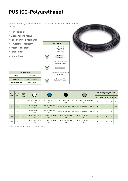### <span id="page-7-0"></span>**PUS (CO-Polyurethane)**

PUS is primarily used in confined spaces because it has a small bend radius.

- High flexibility
- Excellent bend radius
- Good hydrolysis resistance

**TECHNICAL DATA Material** CO-Polyurethane **Hardness** Soft - 55 Shore D **Temperature range**  $-40^{\circ}C \div 100^{\circ}C$ 

- Temperature resistant
- Pressure resistant
- Halogen free
- UV stabilised





| <b>EØ/10</b><br>(mm) | Length<br>(m) | Bend<br>radius |                                           |                                          |                                           |                                                         |                |                | <b>Operating pressure (bar) - Safety</b><br>factor 3 |                |                |
|----------------------|---------------|----------------|-------------------------------------------|------------------------------------------|-------------------------------------------|---------------------------------------------------------|----------------|----------------|------------------------------------------------------|----------------|----------------|
|                      |               | (mm)           |                                           |                                          |                                           |                                                         | $23^{\circ}$ C | $30^{\circ}$ C | $40^{\circ}$ C                                       | $50^{\circ}$ C | $60^{\circ}$ C |
| 4/2,5                | 100           | 10             | PUS-4/2,5 WHITE 100M<br><b>RING</b>       | PUS-4/2.5 BLUE 100M<br><b>RING</b>       | PUS-4/2,5 BLACK 100M<br><b>RING</b>       | PUS-4/2,5 SILVER GREY 100M<br><b>RING</b>               | 22             | 18             | 16                                                   | 14             | 12             |
| 6/4                  | 100           | 15             | PUS-6/4 WHITE 100M<br><b>RING</b>         | <b>PUS-6/4 BLUE 100M</b><br><b>RING</b>  |                                           | PUS-6/4 BLACK 100M RING PUS-6/4 SILVER GREY 100M RING   | 19             | 16             | 13                                                   | 12             | 10             |
| 8/6                  | 100           | 25             | PUS-8/6 WHITE 100M<br><b>RING</b>         | PUS-8/6 BLUE 100M<br><b>RING</b>         |                                           | PUS-8/6 BLACK 100M RING   PUS-8/6 SILVER GREY 100M RING | 16             | 13             | 11                                                   | 10             |                |
| 10/8                 | 100           | 35             | <b>PUS-10/8 WHITE 100M</b><br><b>RING</b> | <b>PUS-10/8 BLUE 100M</b><br><b>RING</b> | <b>PUS-10/8 BLACK 100M</b><br><b>RING</b> | PUS-10/8 SILVER GREY 100M<br><b>RING</b>                | 12             | 10             | $\mathsf{Q}$                                         | 7              |                |
| 12/9                 | 100           | 45             | PUS-12/9 WHITE 100M<br><b>RING</b>        | PUS-12/9 BLUE 100M<br><b>RING</b>        | PUS-12/9 BLACK 100M<br><b>RING</b>        | PUS-12/9 SILVER GREY 100M<br><b>RING</b>                | 13             | 11             | 9                                                    | 8              |                |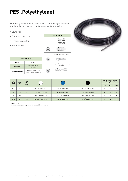### <span id="page-8-0"></span>**PES (Polyethylene)**

PES has good chemical resistance, primarily against gases and liquids such as lubricants, detergents and acids.

- Low price
- Chemical resistant
- Pressure resistant

**TECHNICAL DATA Material** LLDPE **Hardness** Medium hardness

**Temperature range** | Installation: -30°C ÷ +50°C<br>Operation: -40°C ÷ +60°C

- 60 Shore D

• Halogen free





| EØ/IØ<br>(mm) | Length<br>(m)    | <b>Bend</b><br>radius |                     |                     |                       |                | <b>Operating pressure (bar) -</b><br><b>Safety factor 3</b> |                |
|---------------|------------------|-----------------------|---------------------|---------------------|-----------------------|----------------|-------------------------------------------------------------|----------------|
|               |                  | (mm)                  |                     |                     |                       | $20^{\circ}$ C | $40^{\circ}$ C                                              | $60^{\circ}$ C |
| 6/4           | 100              | 36                    | PES-6/4 WHITE 100M  | PES-6/4 BLUE 100M * | PES-6/4 BLACK 100M    | 19             | 13                                                          |                |
| 8/6           | 50 <sub>50</sub> | 50                    | PES-8/6 WHITE 50M   | PES-8/6 BLUE 50M    | PES-8/6 BLACK 50M     | 14             | 10                                                          |                |
| 10/8          | 50               | 80                    | PES-10/8 WHITE 50M  | PES-10/8 BLUE 50M   | PES-10/8 BLACK 50M    | 10             |                                                             |                |
| 12/10         | 50 <sub>50</sub> | 118                   | PES-12/10 WHITE 50M | PES-12/10 BLUE 50M  | PES-12/10 BLACK 50M * | 8              | $\sigma$                                                    |                |

\* not held in stock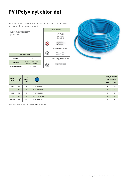## <span id="page-9-0"></span>**PV (Polyvinyl chloride)**

PV is our most pressure resistant hose, thanks to its woven polyester fibre reinforcement.

• Extremely resistant to pressure

| <b>COMPATIBILITY</b>                                      |
|-----------------------------------------------------------|
| Series 6000<br>Series X6000<br>Series 7000<br>Series 8000 |
|                                                           |
| Push on connectors/Rapid                                  |
|                                                           |
| Compression ring connectors/<br>Universal                 |
|                                                           |



| <b>TECHNICAL DATA</b>    |                                                        |  |  |  |  |  |  |
|--------------------------|--------------------------------------------------------|--|--|--|--|--|--|
| Material                 | PVC.                                                   |  |  |  |  |  |  |
| <b>Hardness</b>          | Inner layer: 85±3 Shore A<br>Outer layer: 80±5 Shore A |  |  |  |  |  |  |
| <b>Temperature range</b> | $-10^{\circ}$ C $+$ +60°C                              |  |  |  |  |  |  |

| EØ/IØ<br>(mm) | Length<br>(m) | <b>Bend</b><br>radius<br>(mm) |                        |                | <b>Operating pressure</b><br>$(bar) -$<br>Safety factor 3.5 |
|---------------|---------------|-------------------------------|------------------------|----------------|-------------------------------------------------------------|
|               |               |                               |                        | $20^{\circ}$ C | $60^{\circ}$ C                                              |
| 6,2/4         | 50            | 50                            | PV-6/4 BLUE 50M        | 40             | 28                                                          |
| 8,2/6         | 50            | 60                            | <b>PV-8/6 BLUE 50M</b> | 35             | 24                                                          |
| 10,2/8        | 50            | 65                            | PV-10/8 BLUE 50M       | 35             | 24                                                          |
| 12,5/10       | 50            | 80                            | PV-12/10 BLUE 50M      | 28             | 20                                                          |
| 15,2/12,5     | 50            | 100                           | PV-15/12,5 BLUE 50M    | 28             | 20                                                          |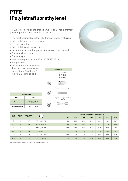## <span id="page-10-0"></span>**PTFE (Polytetrafluorethylene)**

PTFE, better known as the brand name Teflon®, has extremely good temperature and chemical properties

- The most chemical resistant of all known plastic materials
- Extremely temperature resistant
- Pressure resistant
- Extremely low friction coefficient
- Has a waxy surface that prevents residues collecting on it
- Does not absorb water
- Does not age
- Meets the regulations for FDA 21CFR 177.1550
- Halogen free
- Unlike other thermoplastics, does not break down when exposed to UV light (= UV resistant), ozone or acid



|                          | <b>TECHNICAL DATA</b>            |  |  |  |  |  |
|--------------------------|----------------------------------|--|--|--|--|--|
| Material                 | PTFE                             |  |  |  |  |  |
| <b>Hardness</b>          | Medium hardness<br>$-60$ Shore D |  |  |  |  |  |
| <b>Temperature range</b> | $-200^{\circ}$ C $+$ +260°C      |  |  |  |  |  |

| EØ/IØ | Length | <b>Bend radius</b> |                  | Operating pressure (bar) - Safety factor 3 |                |                |                 |                 |                 |                 |
|-------|--------|--------------------|------------------|--------------------------------------------|----------------|----------------|-----------------|-----------------|-----------------|-----------------|
| (mm)  | (m)    | (mm)               |                  | $25^{\circ}$ C                             | $50^{\circ}$ C | $75^{\circ}$ C | $100^{\circ}$ C | $150^{\circ}$ C | $200^{\circ}$ C | $250^{\circ}$ C |
| 4/2   | 10     | 17                 | PTFE-4/2 WHITE   | 46,67                                      | 35,67          | 27,67          | 22,33           | 15,33           | 11,67           | 9,67            |
| 5/3   | 10     | 25                 | PTFE-5/3 WHITE   | 31,11                                      | 23,78          | 18,44          | 14,89           | 10,22           | 7,78            | 6,44            |
| 6/4   | 10     | 46                 | PTFE-6/4 WHITE   | 23,33                                      | 17,83          | 13,83          | 11,17           | 7,67            | 5,83            | 4,83            |
| 8/6   | 10     | 66                 | PTFE-8/6 WHITE   | 15,56                                      | 11,89          | 9,22           | 7,44            | 5,11            | 3,89            | 3,22            |
| 10/8  | 10     | 101                | PTFE-10/8 WHITE  | 11,67                                      | 8,92           | 6,92           | 5,58            | 3,83            | 2,92            | 2,42            |
| 12/10 | 10     | 149                | PTFE-12/10 WHITE | 9,33                                       | 7,13           | 5,53           | 4,47            | 3,07            | 2,33            | 1,93            |

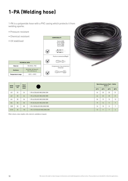# <span id="page-11-0"></span>**1-PA (Welding hose)**

1-PA is a polyamide hose with a PVC casing which protects it from welding sparks.

- Pressure resistant
- Chemical resistant

**TECHNICAL DATA Material** PA12P40 + PVC

**Hardness** PA12P40: 65 Shore D PVC: 80 Shore A

**Temperature range**  $-10^{\circ}$ C ÷ +70°C

• UV stabilised





**23°C 40°C 60°C 80°C**

| EØ/IØ<br>(mm) | Length<br>(m) | <b>Bend</b><br>radius |                              |                |                | <b>Operating pressure (bar) - Safety</b><br>factor 3 |              |
|---------------|---------------|-----------------------|------------------------------|----------------|----------------|------------------------------------------------------|--------------|
|               |               | (mm)                  |                              | $23^{\circ}$ C | $40^{\circ}$ C | $60^{\circ}$ C<br>25                                 | $80^{\circ}$ |
| 4/2           | 25            | 24                    | 1-PA-4/2 BLACK WELDING 25M   | 44             | 32             |                                                      | 21           |
| 4/2           | 50            | 24                    | 1-PA-4/2 BLACK WELDING 50M   | 44             | 32             | 25                                                   | 21           |
| 6/4           | 50            | 36                    | 1-PA-6/4 BLACK WELDING 50M   | 26             | 19             | 15                                                   | 12           |
| 8/6           | 50            | 50                    | 1-PA-8/6 BLACK WELDING 50M   | 19             | 14             | 11                                                   | 9            |
| 10/8          | 50            | 80                    | 1-PA-10/8 BLACK WELDING 50M  | 14             | 10             | 8                                                    | 7            |
| 12/10         | 25            | 118                   | 1-PA-12/10 BLACK WELDING 25M | 12             | 9              | 7                                                    | 6            |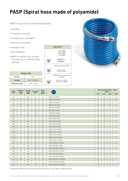### <span id="page-12-0"></span>**PASP (Spiral hose made of polyamide)**

PASP is a spiral hose made of polyamide.

- Flexible
- Pressure resistant
- Temperature resistant
- Chemical resistant
- Halogen free
- UV stabilised
- With or without pre-mounted connectors and buckling springs.

| <b>TECHNICAL DATA</b>    |                                   |  |  |  |  |
|--------------------------|-----------------------------------|--|--|--|--|
| Material                 | <b>PA11</b>                       |  |  |  |  |
| <b>Hardness</b>          | Hard - 70 Shore D                 |  |  |  |  |
| <b>Temperature range</b> | $-40^{\circ}$ C $+ +93^{\circ}$ C |  |  |  |  |





| <b>Working</b><br><b>Resting</b><br><b>Bend</b><br><b>EØ/10</b><br>Spiral-IØ<br>length<br>length<br>radius<br>(mm)<br>(mm) |                 |      |     | <b>Operating pressure (bar) - Safety</b><br>factor 3 |                                       |                |      |      |      |
|----------------------------------------------------------------------------------------------------------------------------|-----------------|------|-----|------------------------------------------------------|---------------------------------------|----------------|------|------|------|
|                                                                                                                            | (m)             | (mm) |     | (mm)                                                 |                                       | $23^{\circ}$ C | 40°C | 60°C | 80°C |
| 4/2                                                                                                                        | 5               | 367  | 22  | 24                                                   | PASP-4/2-5-BLUE                       | 75             | 53   | 41   | 32   |
| 4/2                                                                                                                        | 10              | 735  | 22  | 24                                                   | PASP-4/2-10-BLUE                      | 75             | 53   | 41   | 32   |
| 6/4                                                                                                                        | 5               | 217  | 60  | 36                                                   | PASP-6/4-5-BLUE                       | 45             | 32   | 24   | 19   |
| 6/4                                                                                                                        | 10              | 434  | 60  | 36                                                   | PASP-6/4-10-BLUE                      | 45             | 32   | 24   | 19   |
| 6/4                                                                                                                        | 15              | 651  | 60  | 36                                                   | PASP-6/4-15-BLUE                      | 45             | 32   | 24   | 19   |
| 8/6                                                                                                                        | 5               | 177  | 100 | 50                                                   | <b>PASP-8/6-5-BLUE</b>                | 32             | 22   | 17   | 14   |
| 8/6                                                                                                                        | 10              | 354  | 100 | 50                                                   | PASP-8/6-10-BLUE                      | 32             | 22   | 17   | 14   |
| 8/6                                                                                                                        | 15              | 531  | 100 | 50                                                   | PASP-8/6-15-BLUE                      | 32             | 22   | 17   | 14   |
| 10/8                                                                                                                       | 5               | 174  | 127 | 80                                                   | PASP-10/8-5-BLUE                      | 25             | 18   | 14   | 11   |
| 10/8                                                                                                                       | 10              | 349  | 127 | 80                                                   | PASP-10/8-10-BLUE                     | 25             | 18   | 14   | 11   |
| 10/8                                                                                                                       | 15              | 523  | 127 | 80                                                   | PASP-10/8-15-BLUE                     |                | 18   | 14   | 11   |
| 12/10                                                                                                                      | 5               | 206  | 127 | 118                                                  | PASP-12/10-5-BLUE                     |                | 14   | 11   | 9    |
| 12/10                                                                                                                      | 10              | 412  | 127 | 118                                                  | PASP-12/10-10-BLUE                    | 20             | 14   | 11   | 9    |
| 12/10                                                                                                                      | 15              | 618  | 127 | 118                                                  | PASP-12/10-15-BLUE                    | 20             | 14   | 11   | 9    |
| 15/12.5                                                                                                                    | 5               | 156  | 215 | 147                                                  | PASP-15/12.5-5-BLUE                   | 20             | 14   | 11   | 9    |
| 15/12,5                                                                                                                    | 10              | 434  | 150 | 147                                                  | PASP-15/12,5-10-BLUE                  | 20             | 14   | 11   | 9    |
| 15/12,5                                                                                                                    | 15              | 651  | 150 | 147                                                  | PASP-15/12,5-15-BLUE                  | 20             | 14   | 11   | 9    |
| 8/6                                                                                                                        | 3,5             | 124  | 100 | 50                                                   | PASP-1568-8/6-3.5-BLUE *              | 32             | 22   | 17   | 14   |
| 8/6                                                                                                                        | $7\overline{ }$ | 248  | 100 | 50                                                   | PASP-1568-8/6-7-BLUE *                | 32             | 22   | 17   | 14   |
| 8/6                                                                                                                        | 15              | 531  | 100 | 50                                                   | PASP-1568-8/6-15-BLUE *               | 32             | 22   | 17   | 14   |
| 10/8                                                                                                                       | 3,5             | 126  | 127 | 80                                                   | PASP-1568-10/8-3.5-BLUE <sup>*</sup>  | 25             | 18   | 14   | 11   |
| 10/8                                                                                                                       | $7\overline{ }$ | 248  | 127 | 80                                                   | PASP-1568-10/8-7 BLUE *               | 25             | 18   | 14   | 11   |
| 10/8                                                                                                                       | 15              | 523  | 127 | 80                                                   | PASP-1568-10/8-15 BLUE *              | 25             | 18   | 14   | 11   |
| 12/10                                                                                                                      | 3,5             | 146  | 127 | 118                                                  | PASP-1568-12/10-3,5-BLUE <sup>+</sup> | 20             | 14   | 11   | 9    |
| 12/10                                                                                                                      | $7\overline{ }$ | 297  | 127 | 118                                                  | PASP-1568-12/10-7-BLUE *              | 20             | 14   | 11   | 9    |
| 12/10                                                                                                                      | 15              | 618  | 127 | 118                                                  | PASP-1568-12/10-15-BLUE <sup>+</sup>  | 20             | 14   | 11   | 9    |

\* Including pre-installed connectors and buckling springs. Other colours, sizes, lengths, available on request.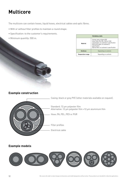### <span id="page-13-0"></span>**Multicore**

The multicore can contain hoses, liquid hoses, electrical cables and optic fibres.

- With or without filler profiles to maintain a round shape.
- Specification: to the customer's requirements.
- Minimum quantity: 500 m.

|                   | <b>TECHNICAL DATA</b>                                                                                                                                                                                       |  |
|-------------------|-------------------------------------------------------------------------------------------------------------------------------------------------------------------------------------------------------------|--|
| Material          | Casing: grey or black PVC<br>Inner hose: PA, PEL, PES or PUR<br>Liquid pipes: to customer's specification<br>Electrical cable: to customer's<br>specification<br>Optical fibre: to customer's specification |  |
| <b>Hardness</b>   | Depending on contents                                                                                                                                                                                       |  |
| Temperature range | Depending on contents                                                                                                                                                                                       |  |

#### **Example construction**



#### **Example models**

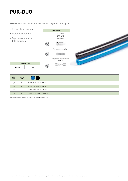### <span id="page-14-0"></span>**PUR-DUO**

PUR-DUO is two hoses that are welded together into a pair.

- Cleaner hose routing
- Faster hose routing
- Separate colours for differentiation





|          | <b>TECHNICAL DATA</b> |  |  |  |  |  |
|----------|-----------------------|--|--|--|--|--|
| Material | PUR                   |  |  |  |  |  |

| EØ/IØ<br>(mm) | Length<br>(m) | $\mathbf{\mathbf{)}$        |
|---------------|---------------|-----------------------------|
| 4/2           | 50            | PUR-DU0-4/2-50M BLUE/BLACK  |
| 6/4           | 50            | PUR-DU0-6/4-50M BLUE/BLACK  |
| 8/6           | 50            | PUR-DU0-8/6-50M BLUE/BLACK  |
| 10/8          | 50            | PUR-DUO-10/8 50M BLUE/BLACK |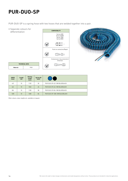### <span id="page-15-0"></span>**PUR-DUO-SP**

PUR-DUO-SP is a spring hose with two hoses that are welded together into a pair.

• Separate colours for differentiation **COMPATIBILITY** 





| EØ/IØ<br>(mm) | Length<br>(m) | Resting<br>length<br>(mm) | Spring-IØ<br>(mm) |                                |
|---------------|---------------|---------------------------|-------------------|--------------------------------|
| 4/2           | 10            | 1120                      | 30                | PUR-DUO-SP-4/2-10M BLUE/BLACK  |
| 6/4           | 10            | 1040                      | 45                | PUR-DUO-SP-6/4-10M BLUE/BLACK  |
| 8/6           | 10            | 1100                      | 58                | PUR-DUO-SP-8/6-10M BLUE/BLACK  |
| 10/8          | 10            | 1200                      | 84                | PUR-DUO-SP-10/8-10M BLUE/BLACK |

Other colours, sizes, lengths etc. available on request.

**TECHNICAL DATA Material** PUR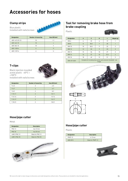### <span id="page-16-0"></span>**Accessories for hoses**

#### **Clamp strips**

Blue plastic Installed with nails/screws



| <b>Designation</b> | Number of hoses/clip | Hose-EØ (mm) |
|--------------------|----------------------|--------------|
| 4001-4/2-5/3-10    | 10                   | $4 - 5$      |
| $4001 - 6/4 - 10$  | 10                   | 6            |
| 4001-8/6-10        | 10                   | 8            |
| 4001-10/8-6        | Ò                    | 10           |
| 4001-12/9-6        |                      | 12           |

#### **T-clips**

+100°C

Black injection moulded acetal plastic -40°C ÷



| Installed with nails/screws |                          |              |  |  |
|-----------------------------|--------------------------|--------------|--|--|
| <b>Designation</b>          | Number of hoses/clip     | Hose-EØ (mm) |  |  |
| $T - 4 - 5$                 | $\mathfrak{p}$           | $4 - 5$      |  |  |
| $T-6-7$                     | $\overline{\phantom{0}}$ | $6 - 7$      |  |  |
| $T-8-9$                     | 2                        | $8 - 9$      |  |  |
| $T-10-11$                   | $\overline{\phantom{0}}$ | $10 - 11$    |  |  |
| $T-12-14$                   | $\mathfrak{p}$           | $12 - 14$    |  |  |
| $T-15-17$                   | $\mathcal{P}$            | $15 - 17$    |  |  |

T-18-21 2 18-21

#### **Hose/pipe cutter**

Metal

| <b>Designation</b> | <b>Description</b> |  |
|--------------------|--------------------|--|
| <b>PNZ-12</b>      | $max 12$ mm        |  |
| <b>PNZ-25</b>      | $max 25$ mm        |  |
| LAME X PNZ-12      | Blade for PNZ-12   |  |
| LAME X PNZ-25      | Blade for PNZ-25   |  |



#### **Tool for removing brake hose from brake coupling**

Plastic



| <b>Designation</b> | A                                                                             | G    | н  |      | Weight (g)     |
|--------------------|-------------------------------------------------------------------------------|------|----|------|----------------|
| DRK 6              | 6                                                                             | 25   | 6  | 19   |                |
| DRK8               | 8                                                                             | 28,5 | 7  | 20   |                |
| <b>DRK10</b>       | 10                                                                            | 30,5 | 9  | 22   | $\mathfrak{p}$ |
| <b>DRK12</b>       | 12                                                                            | 33   | 9  | 23   | 3              |
| <b>DRK15</b>       | 15                                                                            | 36   | 10 | 27   | 3              |
| <b>DRK16</b>       | 16                                                                            | 37   | 10 | 27,5 | $\overline{4}$ |
| <b>DRK 18</b>      | 18                                                                            | 40   | 12 | 31   | 5              |
| DRK-KIT-SE01       | Complete kit including hose section and connector (installed) - see<br>image. |      |    |      |                |





#### **Hose/pipe cutter**

Plastic

| <b>Designation</b> | <b>Description</b> |  |
|--------------------|--------------------|--|
| <b>PNZP-12</b>     | $4 - 12$ mm        |  |
| 4003-B15           | Blade for PNZP-12  |  |